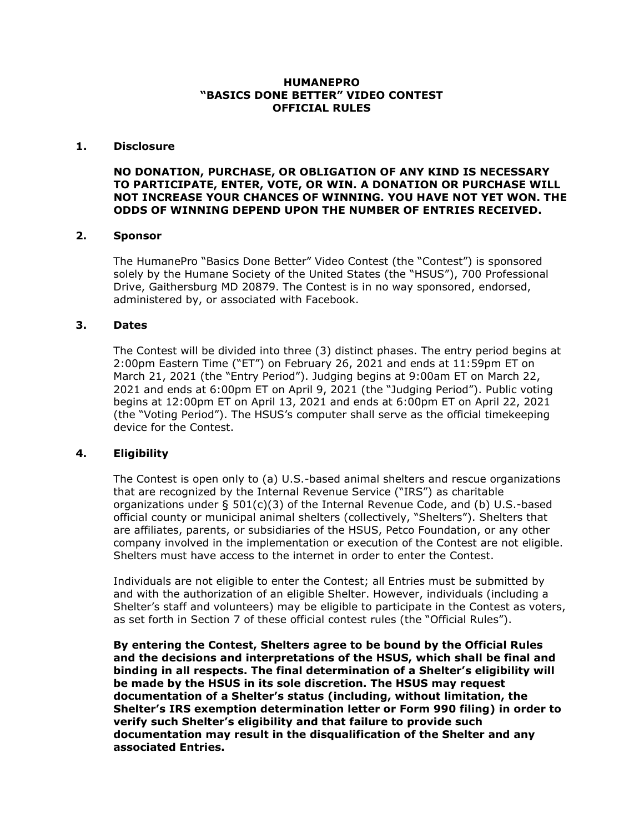### **HUMANEPRO "BASICS DONE BETTER" VIDEO CONTEST OFFICIAL RULES**

### **1. Disclosure**

**NO DONATION, PURCHASE, OR OBLIGATION OF ANY KIND IS NECESSARY TO PARTICIPATE, ENTER, VOTE, OR WIN. A DONATION OR PURCHASE WILL NOT INCREASE YOUR CHANCES OF WINNING. YOU HAVE NOT YET WON. THE ODDS OF WINNING DEPEND UPON THE NUMBER OF ENTRIES RECEIVED.**

### **2. Sponsor**

The HumanePro "Basics Done Better" Video Contest (the "Contest") is sponsored solely by the Humane Society of the United States (the "HSUS"), 700 Professional Drive, Gaithersburg MD 20879. The Contest is in no way sponsored, endorsed, administered by, or associated with Facebook.

### **3. Dates**

The Contest will be divided into three (3) distinct phases. The entry period begins at 2:00pm Eastern Time ("ET") on February 26, 2021 and ends at 11:59pm ET on March 21, 2021 (the "Entry Period"). Judging begins at 9:00am ET on March 22, 2021 and ends at 6:00pm ET on April 9, 2021 (the "Judging Period"). Public voting begins at 12:00pm ET on April 13, 2021 and ends at 6:00pm ET on April 22, 2021 (the "Voting Period"). The HSUS's computer shall serve as the official timekeeping device for the Contest.

# **4. Eligibility**

The Contest is open only to (a) U.S.-based animal shelters and rescue organizations that are recognized by the Internal Revenue Service ("IRS") as charitable organizations under  $\S 501(c)(3)$  of the Internal Revenue Code, and (b) U.S.-based official county or municipal animal shelters (collectively, "Shelters"). Shelters that are affiliates, parents, or subsidiaries of the HSUS, Petco Foundation, or any other company involved in the implementation or execution of the Contest are not eligible. Shelters must have access to the internet in order to enter the Contest.

Individuals are not eligible to enter the Contest; all Entries must be submitted by and with the authorization of an eligible Shelter. However, individuals (including a Shelter's staff and volunteers) may be eligible to participate in the Contest as voters, as set forth in Section 7 of these official contest rules (the "Official Rules").

**By entering the Contest, Shelters agree to be bound by the Official Rules and the decisions and interpretations of the HSUS, which shall be final and binding in all respects. The final determination of a Shelter's eligibility will be made by the HSUS in its sole discretion. The HSUS may request documentation of a Shelter's status (including, without limitation, the Shelter's IRS exemption determination letter or Form 990 filing) in order to verify such Shelter's eligibility and that failure to provide such documentation may result in the disqualification of the Shelter and any associated Entries.**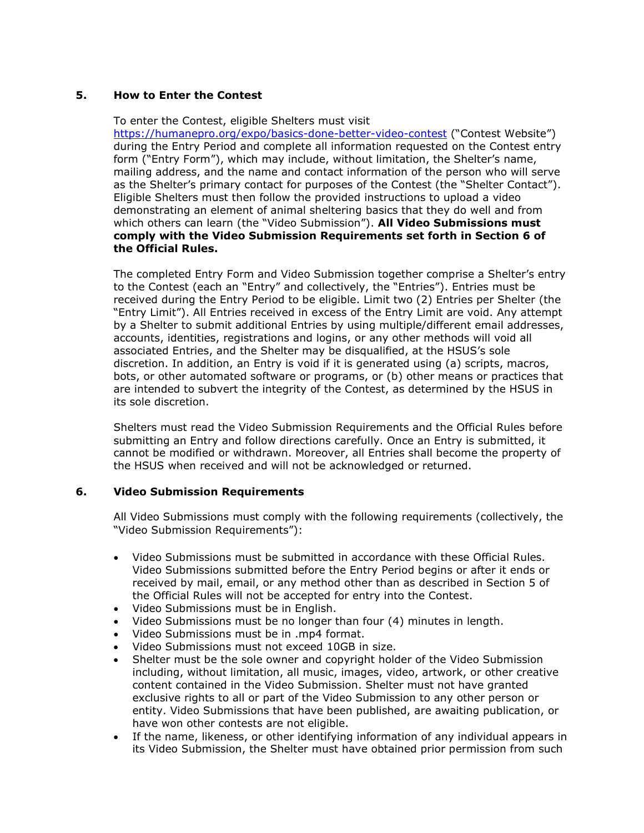# **5. How to Enter the Contest**

To enter the Contest, eligible Shelters must visit

<https://humanepro.org/expo/basics-done-better-video-contest> ("Contest Website") during the Entry Period and complete all information requested on the Contest entry form ("Entry Form"), which may include, without limitation, the Shelter's name, mailing address, and the name and contact information of the person who will serve as the Shelter's primary contact for purposes of the Contest (the "Shelter Contact"). Eligible Shelters must then follow the provided instructions to upload a video demonstrating an element of animal sheltering basics that they do well and from which others can learn (the "Video Submission"). **All Video Submissions must comply with the Video Submission Requirements set forth in Section 6 of the Official Rules.**

The completed Entry Form and Video Submission together comprise a Shelter's entry to the Contest (each an "Entry" and collectively, the "Entries"). Entries must be received during the Entry Period to be eligible. Limit two (2) Entries per Shelter (the "Entry Limit"). All Entries received in excess of the Entry Limit are void. Any attempt by a Shelter to submit additional Entries by using multiple/different email addresses, accounts, identities, registrations and logins, or any other methods will void all associated Entries, and the Shelter may be disqualified, at the HSUS's sole discretion. In addition, an Entry is void if it is generated using (a) scripts, macros, bots, or other automated software or programs, or (b) other means or practices that are intended to subvert the integrity of the Contest, as determined by the HSUS in its sole discretion.

Shelters must read the Video Submission Requirements and the Official Rules before submitting an Entry and follow directions carefully. Once an Entry is submitted, it cannot be modified or withdrawn. Moreover, all Entries shall become the property of the HSUS when received and will not be acknowledged or returned.

# **6. Video Submission Requirements**

All Video Submissions must comply with the following requirements (collectively, the "Video Submission Requirements"):

- Video Submissions must be submitted in accordance with these Official Rules. Video Submissions submitted before the Entry Period begins or after it ends or received by mail, email, or any method other than as described in Section 5 of the Official Rules will not be accepted for entry into the Contest.
- Video Submissions must be in English.
- Video Submissions must be no longer than four (4) minutes in length.
- Video Submissions must be in .mp4 format.
- Video Submissions must not exceed 10GB in size.
- Shelter must be the sole owner and copyright holder of the Video Submission including, without limitation, all music, images, video, artwork, or other creative content contained in the Video Submission. Shelter must not have granted exclusive rights to all or part of the Video Submission to any other person or entity. Video Submissions that have been published, are awaiting publication, or have won other contests are not eligible.
- If the name, likeness, or other identifying information of any individual appears in its Video Submission, the Shelter must have obtained prior permission from such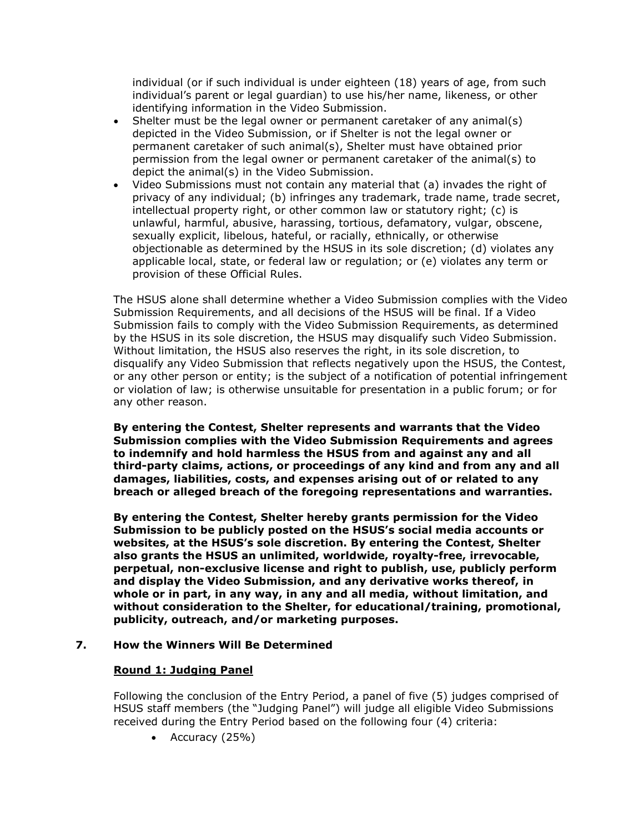individual (or if such individual is under eighteen (18) years of age, from such individual's parent or legal guardian) to use his/her name, likeness, or other identifying information in the Video Submission.

- Shelter must be the legal owner or permanent caretaker of any animal(s) depicted in the Video Submission, or if Shelter is not the legal owner or permanent caretaker of such animal(s), Shelter must have obtained prior permission from the legal owner or permanent caretaker of the animal(s) to depict the animal(s) in the Video Submission.
- Video Submissions must not contain any material that (a) invades the right of privacy of any individual; (b) infringes any trademark, trade name, trade secret, intellectual property right, or other common law or statutory right; (c) is unlawful, harmful, abusive, harassing, tortious, defamatory, vulgar, obscene, sexually explicit, libelous, hateful, or racially, ethnically, or otherwise objectionable as determined by the HSUS in its sole discretion; (d) violates any applicable local, state, or federal law or regulation; or (e) violates any term or provision of these Official Rules.

The HSUS alone shall determine whether a Video Submission complies with the Video Submission Requirements, and all decisions of the HSUS will be final. If a Video Submission fails to comply with the Video Submission Requirements, as determined by the HSUS in its sole discretion, the HSUS may disqualify such Video Submission. Without limitation, the HSUS also reserves the right, in its sole discretion, to disqualify any Video Submission that reflects negatively upon the HSUS, the Contest, or any other person or entity; is the subject of a notification of potential infringement or violation of law; is otherwise unsuitable for presentation in a public forum; or for any other reason.

**By entering the Contest, Shelter represents and warrants that the Video Submission complies with the Video Submission Requirements and agrees to indemnify and hold harmless the HSUS from and against any and all third-party claims, actions, or proceedings of any kind and from any and all damages, liabilities, costs, and expenses arising out of or related to any breach or alleged breach of the foregoing representations and warranties.**

**By entering the Contest, Shelter hereby grants permission for the Video Submission to be publicly posted on the HSUS's social media accounts or websites, at the HSUS's sole discretion. By entering the Contest, Shelter also grants the HSUS an unlimited, worldwide, royalty-free, irrevocable, perpetual, non-exclusive license and right to publish, use, publicly perform and display the Video Submission, and any derivative works thereof, in whole or in part, in any way, in any and all media, without limitation, and without consideration to the Shelter, for educational/training, promotional, publicity, outreach, and/or marketing purposes.** 

# **7. How the Winners Will Be Determined**

# **Round 1: Judging Panel**

Following the conclusion of the Entry Period, a panel of five (5) judges comprised of HSUS staff members (the "Judging Panel") will judge all eligible Video Submissions received during the Entry Period based on the following four (4) criteria:

• Accuracy (25%)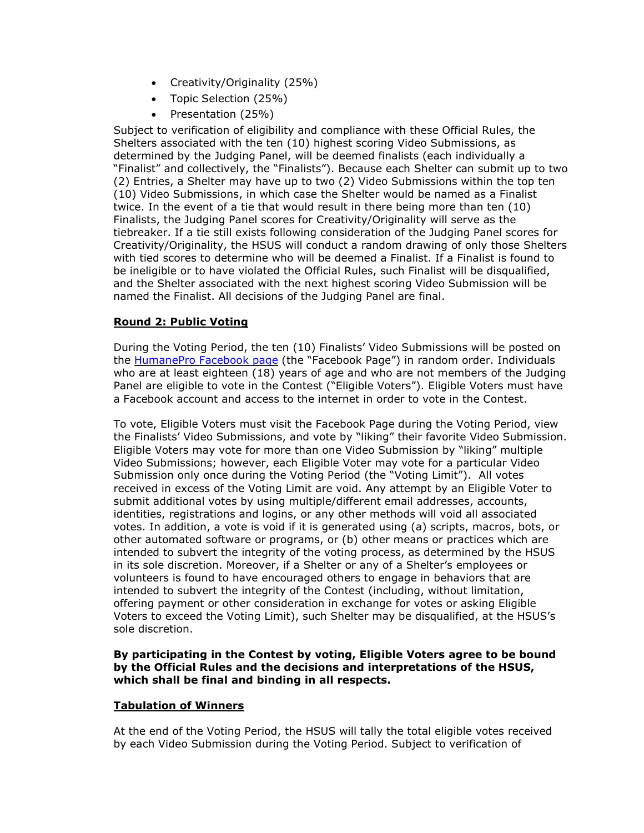- Creativity/Originality (25%)
- Topic Selection (25%)
- Presentation (25%)

Subject to verification of eligibility and compliance with these Official Rules, the Shelters associated with the ten (10) highest scoring Video Submissions, as determined by the Judging Panel, will be deemed finalists (each individually a "Finalist" and collectively, the "Finalists"). Because each Shelter can submit up to two (2) Entries, a Shelter may have up to two (2) Video Submissions within the top ten (10) Video Submissions, in which case the Shelter would be named as a Finalist twice. In the event of a tie that would result in there being more than ten (10) Finalists, the Judging Panel scores for Creativity/Originality will serve as the tiebreaker. If a tie still exists following consideration of the Judging Panel scores for Creativity/Originality, the HSUS will conduct a random drawing of only those Shelters with tied scores to determine who will be deemed a Finalist. If a Finalist is found to be ineligible or to have violated the Official Rules, such Finalist will be disqualified, and the Shelter associated with the next highest scoring Video Submission will be named the Finalist. All decisions of the Judging Panel are final.

# **Round 2: Public Voting**

During the Voting Period, the ten (10) Finalists' Video Submissions will be posted on the [HumanePro Facebook page](https://www.facebook.com/HSUSHumanePro) (the "Facebook Page") in random order. Individuals who are at least eighteen (18) years of age and who are not members of the Judging Panel are eligible to vote in the Contest ("Eligible Voters"). Eligible Voters must have a Facebook account and access to the internet in order to vote in the Contest.

To vote, Eligible Voters must visit the Facebook Page during the Voting Period, view the Finalists' Video Submissions, and vote by "liking" their favorite Video Submission. Eligible Voters may vote for more than one Video Submission by "liking" multiple Video Submissions; however, each Eligible Voter may vote for a particular Video Submission only once during the Voting Period (the "Voting Limit"). All votes received in excess of the Voting Limit are void. Any attempt by an Eligible Voter to submit additional votes by using multiple/different email addresses, accounts, identities, registrations and logins, or any other methods will void all associated votes. In addition, a vote is void if it is generated using (a) scripts, macros, bots, or other automated software or programs, or (b) other means or practices which are intended to subvert the integrity of the voting process, as determined by the HSUS in its sole discretion. Moreover, if a Shelter or any of a Shelter's employees or volunteers is found to have encouraged others to engage in behaviors that are intended to subvert the integrity of the Contest (including, without limitation, offering payment or other consideration in exchange for votes or asking Eligible Voters to exceed the Voting Limit), such Shelter may be disqualified, at the HSUS's sole discretion.

# **By participating in the Contest by voting, Eligible Voters agree to be bound by the Official Rules and the decisions and interpretations of the HSUS, which shall be final and binding in all respects.**

# **Tabulation of Winners**

At the end of the Voting Period, the HSUS will tally the total eligible votes received by each Video Submission during the Voting Period. Subject to verification of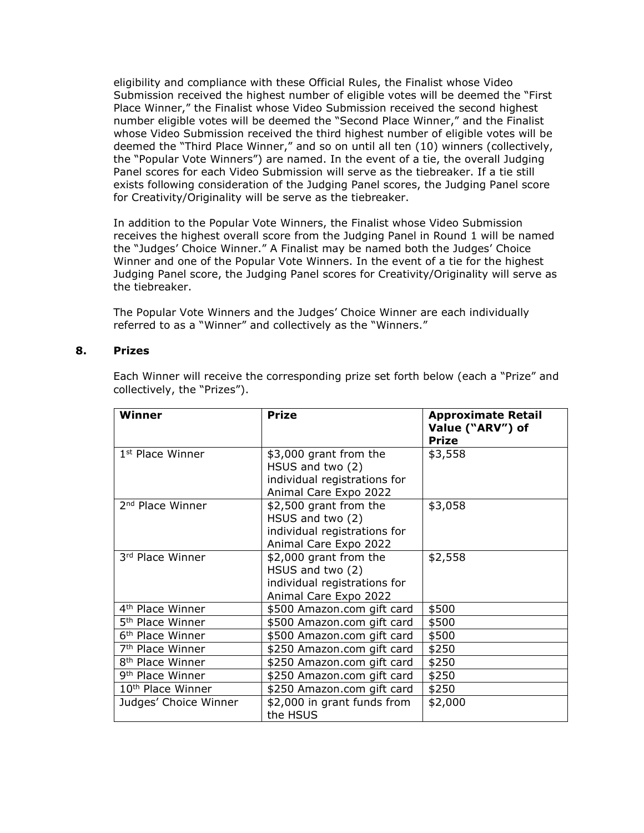eligibility and compliance with these Official Rules, the Finalist whose Video Submission received the highest number of eligible votes will be deemed the "First Place Winner," the Finalist whose Video Submission received the second highest number eligible votes will be deemed the "Second Place Winner," and the Finalist whose Video Submission received the third highest number of eligible votes will be deemed the "Third Place Winner," and so on until all ten (10) winners (collectively, the "Popular Vote Winners") are named. In the event of a tie, the overall Judging Panel scores for each Video Submission will serve as the tiebreaker. If a tie still exists following consideration of the Judging Panel scores, the Judging Panel score for Creativity/Originality will be serve as the tiebreaker.

In addition to the Popular Vote Winners, the Finalist whose Video Submission receives the highest overall score from the Judging Panel in Round 1 will be named the "Judges' Choice Winner." A Finalist may be named both the Judges' Choice Winner and one of the Popular Vote Winners. In the event of a tie for the highest Judging Panel score, the Judging Panel scores for Creativity/Originality will serve as the tiebreaker.

The Popular Vote Winners and the Judges' Choice Winner are each individually referred to as a "Winner" and collectively as the "Winners."

### **8. Prizes**

Each Winner will receive the corresponding prize set forth below (each a "Prize" and collectively, the "Prizes").

| <b>Winner</b>                 | <b>Prize</b>                                                                                        | <b>Approximate Retail</b><br>Value ("ARV") of<br><b>Prize</b> |
|-------------------------------|-----------------------------------------------------------------------------------------------------|---------------------------------------------------------------|
| 1 <sup>st</sup> Place Winner  | \$3,000 grant from the<br>HSUS and two (2)<br>individual registrations for<br>Animal Care Expo 2022 | \$3,558                                                       |
| 2 <sup>nd</sup> Place Winner  | \$2,500 grant from the<br>HSUS and two (2)<br>individual registrations for<br>Animal Care Expo 2022 | \$3,058                                                       |
| 3rd Place Winner              | \$2,000 grant from the<br>HSUS and two (2)<br>individual registrations for<br>Animal Care Expo 2022 | \$2,558                                                       |
| 4 <sup>th</sup> Place Winner  | \$500 Amazon.com gift card                                                                          | \$500                                                         |
| 5 <sup>th</sup> Place Winner  | \$500 Amazon.com gift card                                                                          | \$500                                                         |
| 6 <sup>th</sup> Place Winner  | \$500 Amazon.com gift card                                                                          | \$500                                                         |
| 7 <sup>th</sup> Place Winner  | \$250 Amazon.com gift card                                                                          | \$250                                                         |
| 8 <sup>th</sup> Place Winner  | \$250 Amazon.com gift card                                                                          | \$250                                                         |
| 9 <sup>th</sup> Place Winner  | \$250 Amazon.com gift card                                                                          | \$250                                                         |
| 10 <sup>th</sup> Place Winner | \$250 Amazon.com gift card                                                                          | \$250                                                         |
| Judges' Choice Winner         | \$2,000 in grant funds from<br>the HSUS                                                             | \$2,000                                                       |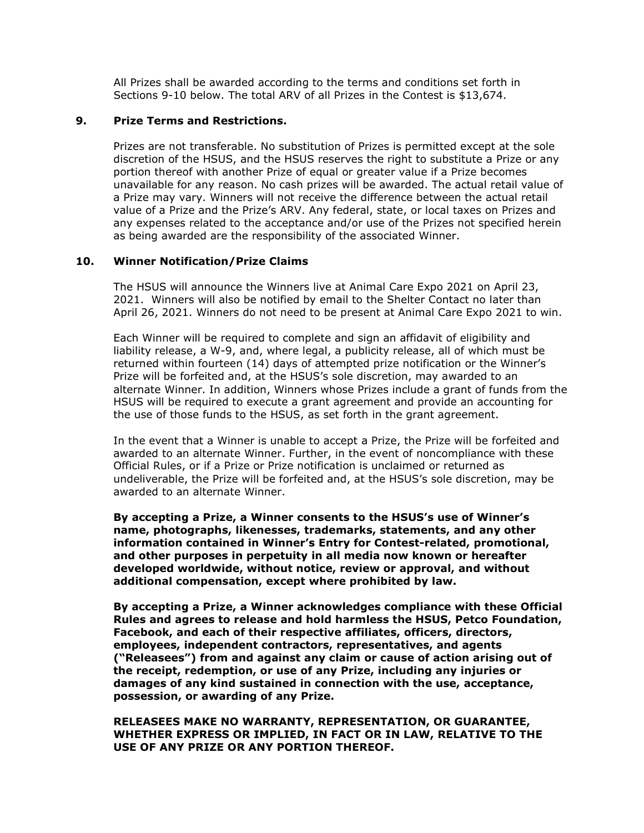All Prizes shall be awarded according to the terms and conditions set forth in Sections 9-10 below. The total ARV of all Prizes in the Contest is \$13,674.

# **9. Prize Terms and Restrictions.**

Prizes are not transferable. No substitution of Prizes is permitted except at the sole discretion of the HSUS, and the HSUS reserves the right to substitute a Prize or any portion thereof with another Prize of equal or greater value if a Prize becomes unavailable for any reason. No cash prizes will be awarded. The actual retail value of a Prize may vary. Winners will not receive the difference between the actual retail value of a Prize and the Prize's ARV. Any federal, state, or local taxes on Prizes and any expenses related to the acceptance and/or use of the Prizes not specified herein as being awarded are the responsibility of the associated Winner.

# **10. Winner Notification/Prize Claims**

The HSUS will announce the Winners live at Animal Care Expo 2021 on April 23, 2021. Winners will also be notified by email to the Shelter Contact no later than April 26, 2021. Winners do not need to be present at Animal Care Expo 2021 to win.

Each Winner will be required to complete and sign an affidavit of eligibility and liability release, a W-9, and, where legal, a publicity release, all of which must be returned within fourteen (14) days of attempted prize notification or the Winner's Prize will be forfeited and, at the HSUS's sole discretion, may awarded to an alternate Winner. In addition, Winners whose Prizes include a grant of funds from the HSUS will be required to execute a grant agreement and provide an accounting for the use of those funds to the HSUS, as set forth in the grant agreement.

In the event that a Winner is unable to accept a Prize, the Prize will be forfeited and awarded to an alternate Winner. Further, in the event of noncompliance with these Official Rules, or if a Prize or Prize notification is unclaimed or returned as undeliverable, the Prize will be forfeited and, at the HSUS's sole discretion, may be awarded to an alternate Winner.

**By accepting a Prize, a Winner consents to the HSUS's use of Winner's name, photographs, likenesses, trademarks, statements, and any other information contained in Winner's Entry for Contest-related, promotional, and other purposes in perpetuity in all media now known or hereafter developed worldwide, without notice, review or approval, and without additional compensation, except where prohibited by law.**

**By accepting a Prize, a Winner acknowledges compliance with these Official Rules and agrees to release and hold harmless the HSUS, Petco Foundation, Facebook, and each of their respective affiliates, officers, directors, employees, independent contractors, representatives, and agents ("Releasees") from and against any claim or cause of action arising out of the receipt, redemption, or use of any Prize, including any injuries or damages of any kind sustained in connection with the use, acceptance, possession, or awarding of any Prize.**

**RELEASEES MAKE NO WARRANTY, REPRESENTATION, OR GUARANTEE, WHETHER EXPRESS OR IMPLIED, IN FACT OR IN LAW, RELATIVE TO THE USE OF ANY PRIZE OR ANY PORTION THEREOF.**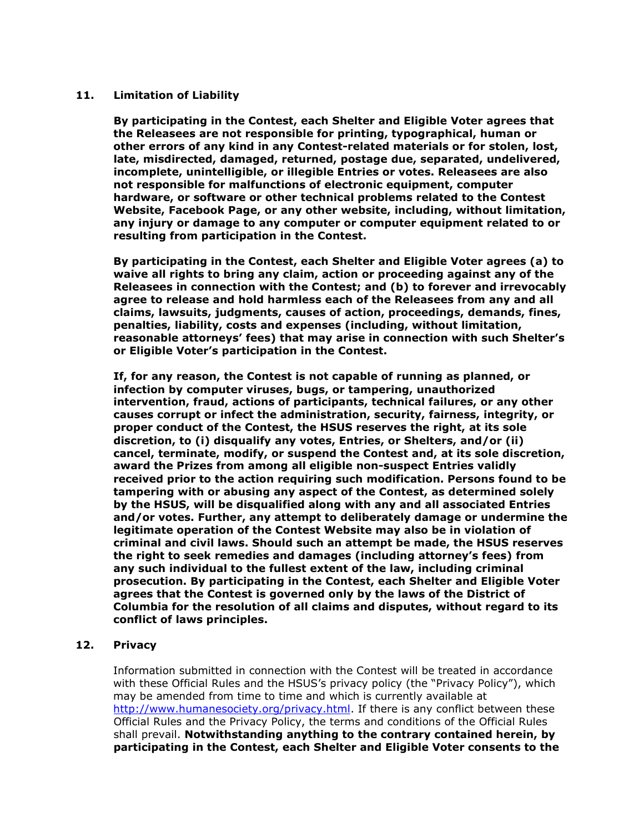# **11. Limitation of Liability**

**By participating in the Contest, each Shelter and Eligible Voter agrees that the Releasees are not responsible for printing, typographical, human or other errors of any kind in any Contest-related materials or for stolen, lost, late, misdirected, damaged, returned, postage due, separated, undelivered, incomplete, unintelligible, or illegible Entries or votes. Releasees are also not responsible for malfunctions of electronic equipment, computer hardware, or software or other technical problems related to the Contest Website, Facebook Page, or any other website, including, without limitation, any injury or damage to any computer or computer equipment related to or resulting from participation in the Contest.** 

**By participating in the Contest, each Shelter and Eligible Voter agrees (a) to waive all rights to bring any claim, action or proceeding against any of the Releasees in connection with the Contest; and (b) to forever and irrevocably agree to release and hold harmless each of the Releasees from any and all claims, lawsuits, judgments, causes of action, proceedings, demands, fines, penalties, liability, costs and expenses (including, without limitation, reasonable attorneys' fees) that may arise in connection with such Shelter's or Eligible Voter's participation in the Contest.**

**If, for any reason, the Contest is not capable of running as planned, or infection by computer viruses, bugs, or tampering, unauthorized intervention, fraud, actions of participants, technical failures, or any other causes corrupt or infect the administration, security, fairness, integrity, or proper conduct of the Contest, the HSUS reserves the right, at its sole discretion, to (i) disqualify any votes, Entries, or Shelters, and/or (ii) cancel, terminate, modify, or suspend the Contest and, at its sole discretion, award the Prizes from among all eligible non-suspect Entries validly received prior to the action requiring such modification. Persons found to be tampering with or abusing any aspect of the Contest, as determined solely by the HSUS, will be disqualified along with any and all associated Entries and/or votes. Further, any attempt to deliberately damage or undermine the legitimate operation of the Contest Website may also be in violation of criminal and civil laws. Should such an attempt be made, the HSUS reserves the right to seek remedies and damages (including attorney's fees) from any such individual to the fullest extent of the law, including criminal prosecution. By participating in the Contest, each Shelter and Eligible Voter agrees that the Contest is governed only by the laws of the District of Columbia for the resolution of all claims and disputes, without regard to its conflict of laws principles.**

#### **12. Privacy**

Information submitted in connection with the Contest will be treated in accordance with these Official Rules and the HSUS's privacy policy (the "Privacy Policy"), which may be amended from time to time and which is currently available at [http://www.humanesociety.org/privacy.html.](http://www.humanesociety.org/privacy.html) If there is any conflict between these Official Rules and the Privacy Policy, the terms and conditions of the Official Rules shall prevail. **Notwithstanding anything to the contrary contained herein, by participating in the Contest, each Shelter and Eligible Voter consents to the**